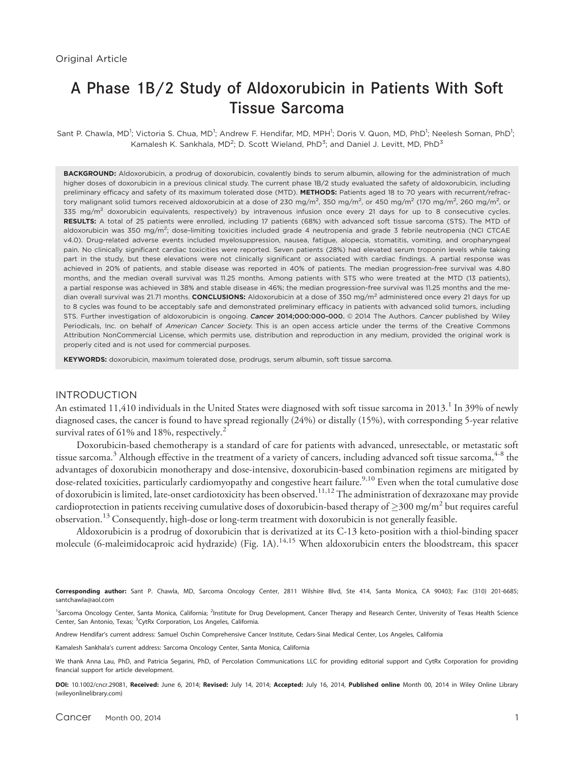# A Phase 1B/2 Study of Aldoxorubicin in Patients With Soft Tissue Sarcoma

Sant P. Chawla, MD<sup>1</sup>; Victoria S. Chua, MD<sup>1</sup>; Andrew F. Hendifar, MD, MPH<sup>1</sup>; Doris V. Quon, MD, PhD<sup>1</sup>; Neelesh Soman, PhD<sup>1</sup>; Kamalesh K. Sankhala, MD<sup>2</sup>; D. Scott Wieland, PhD<sup>3</sup>; and Daniel J. Levitt, MD, PhD<sup>3</sup>

BACKGROUND: Aldoxorubicin, a prodrug of doxorubicin, covalently binds to serum albumin, allowing for the administration of much higher doses of doxorubicin in a previous clinical study. The current phase 1B/2 study evaluated the safety of aldoxorubicin, including preliminary efficacy and safety of its maximum tolerated dose (MTD). METHODS: Patients aged 18 to 70 years with recurrent/refractory malignant solid tumors received aldoxorubicin at a dose of 230 mg/m $^2$ , 350 mg/m $^2$ , or 450 mg/m $^2$  (170 mg/m $^2$ , 260 mg/m $^2$ , or 335 mg/m<sup>2</sup> doxorubicin equivalents, respectively) by intravenous infusion once every 21 days for up to 8 consecutive cycles. RESULTS: A total of 25 patients were enrolled, including 17 patients (68%) with advanced soft tissue sarcoma (STS). The MTD of aldoxorubicin was 350 mg/m<sup>2</sup>; dose-limiting toxicities included grade 4 neutropenia and grade 3 febrile neutropenia (NCI CTCAE v4.0). Drug-related adverse events included myelosuppression, nausea, fatigue, alopecia, stomatitis, vomiting, and oropharyngeal pain. No clinically significant cardiac toxicities were reported. Seven patients (28%) had elevated serum troponin levels while taking part in the study, but these elevations were not clinically significant or associated with cardiac findings. A partial response was achieved in 20% of patients, and stable disease was reported in 40% of patients. The median progression-free survival was 4.80 months, and the median overall survival was 11.25 months. Among patients with STS who were treated at the MTD (13 patients), a partial response was achieved in 38% and stable disease in 46%; the median progression-free survival was 11.25 months and the median overall survival was 21.71 months. CONCLUSIONS: Aldoxorubicin at a dose of 350 mg/m<sup>2</sup> administered once every 21 days for up to 8 cycles was found to be acceptably safe and demonstrated preliminary efficacy in patients with advanced solid tumors, including STS. Further investigation of aldoxorubicin is ongoing. Cancer 2014;000:000-000. @ 2014 The Authors. Cancer published by Wiley Periodicals, Inc. on behalf of American Cancer Society. This is an open access article under the terms of the Creative Commons Attribution NonCommercial License, which permits use, distribution and reproduction in any medium, provided the original work is properly cited and is not used for commercial purposes.

KEYWORDS: doxorubicin, maximum tolerated dose, prodrugs, serum albumin, soft tissue sarcoma.

## INTRODUCTION

An estimated 11,410 individuals in the United States were diagnosed with soft tissue sarcoma in 2013.<sup>1</sup> In 39% of newly diagnosed cases, the cancer is found to have spread regionally (24%) or distally (15%), with corresponding 5-year relative survival rates of 61% and 18%, respectively.<sup>2</sup>

Doxorubicin-based chemotherapy is a standard of care for patients with advanced, unresectable, or metastatic soft tissue sarcoma.<sup>3</sup> Although effective in the treatment of a variety of cancers, including advanced soft tissue sarcoma,<sup>4-8</sup> the advantages of doxorubicin monotherapy and dose-intensive, doxorubicin-based combination regimens are mitigated by dose-related toxicities, particularly cardiomyopathy and congestive heart failure.<sup>9,10</sup> Even when the total cumulative dose of doxorubicin is limited, late-onset cardiotoxicity has been observed.<sup>11,12</sup> The administration of dexrazoxane may provide cardioprotection in patients receiving cumulative doses of doxorubicin-based therapy of  $\geq$ 300 mg/m $^2$  but requires careful observation.<sup>13</sup> Consequently, high-dose or long-term treatment with doxorubicin is not generally feasible.

Aldoxorubicin is a prodrug of doxorubicin that is derivatized at its C-13 keto-position with a thiol-binding spacer molecule (6-maleimidocaproic acid hydrazide) (Fig. 1A).<sup>14,15</sup> When aldoxorubicin enters the bloodstream, this spacer

Corresponding author: Sant P. Chawla, MD, Sarcoma Oncology Center, 2811 Wilshire Blvd, Ste 414, Santa Monica, CA 90403; Fax: (310) 201-6685; santchawla@aol.com

<sup>1</sup>Sarcoma Oncology Center, Santa Monica, California; <sup>2</sup>Institute for Drug Development, Cancer Therapy and Research Center, University of Texas Health Science Center, San Antonio, Texas; <sup>3</sup>CytRx Corporation, Los Angeles, California.

Andrew Hendifar's current address: Samuel Oschin Comprehensive Cancer Institute, Cedars-Sinai Medical Center, Los Angeles, California

Kamalesh Sankhala's current address: Sarcoma Oncology Center, Santa Monica, California

We thank Anna Lau, PhD, and Patricia Segarini, PhD, of Percolation Communications LLC for providing editorial support and CytRx Corporation for providing financial support for article development.

DOI: 10.1002/cncr.29081, Received: June 6, 2014; Revised: July 14, 2014; Accepted: July 16, 2014, Published online Month 00, 2014 in Wiley Online Library (wileyonlinelibrary.com)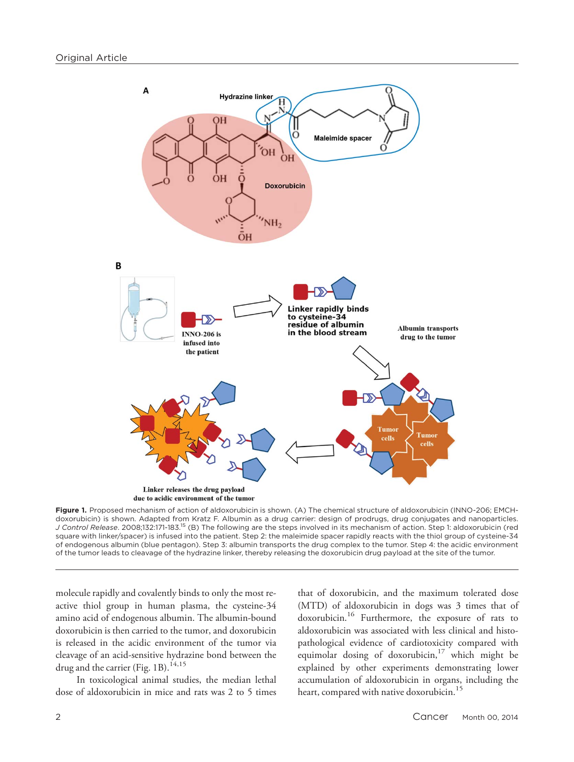

Figure 1. Proposed mechanism of action of aldoxorubicin is shown. (A) The chemical structure of aldoxorubicin (INNO-206; EMCHdoxorubicin) is shown. Adapted from Kratz F. Albumin as a drug carrier: design of prodrugs, drug conjugates and nanoparticles. J Control Release. 2008;132:171-183.15 (B) The following are the steps involved in its mechanism of action. Step 1: aldoxorubicin (red square with linker/spacer) is infused into the patient. Step 2: the maleimide spacer rapidly reacts with the thiol group of cysteine-34 of endogenous albumin (blue pentagon). Step 3: albumin transports the drug complex to the tumor. Step 4: the acidic environment of the tumor leads to cleavage of the hydrazine linker, thereby releasing the doxorubicin drug payload at the site of the tumor.

molecule rapidly and covalently binds to only the most reactive thiol group in human plasma, the cysteine-34 amino acid of endogenous albumin. The albumin-bound doxorubicin is then carried to the tumor, and doxorubicin is released in the acidic environment of the tumor via cleavage of an acid-sensitive hydrazine bond between the drug and the carrier (Fig. 1B).<sup>14,15</sup>

In toxicological animal studies, the median lethal dose of aldoxorubicin in mice and rats was 2 to 5 times

that of doxorubicin, and the maximum tolerated dose (MTD) of aldoxorubicin in dogs was 3 times that of doxorubicin.16 Furthermore, the exposure of rats to aldoxorubicin was associated with less clinical and histopathological evidence of cardiotoxicity compared with equimolar dosing of doxorubicin, $17$  which might be explained by other experiments demonstrating lower accumulation of aldoxorubicin in organs, including the heart, compared with native doxorubicin.<sup>15</sup>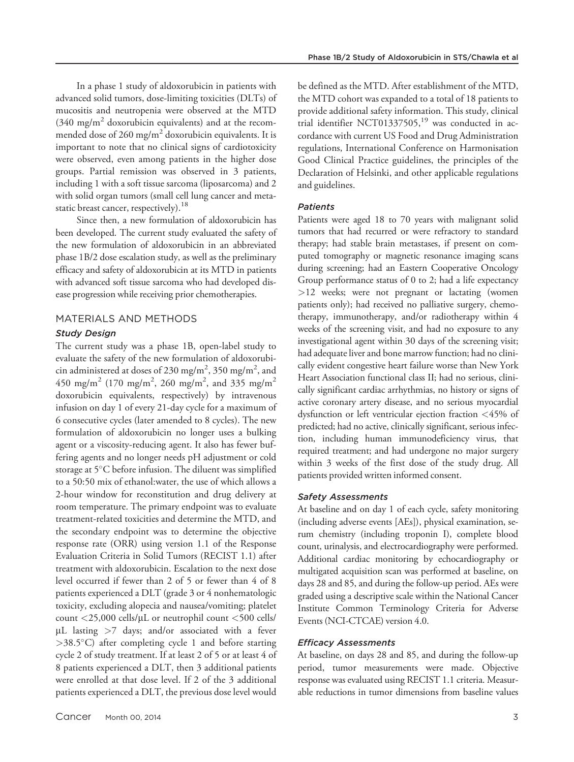In a phase 1 study of aldoxorubicin in patients with advanced solid tumors, dose-limiting toxicities (DLTs) of mucositis and neutropenia were observed at the MTD  $(340 \text{ mg/m}^2)$  doxorubicin equivalents) and at the recommended dose of 260 mg/m<sup>2</sup> doxorubicin equivalents. It is important to note that no clinical signs of cardiotoxicity were observed, even among patients in the higher dose groups. Partial remission was observed in 3 patients, including 1 with a soft tissue sarcoma (liposarcoma) and 2 with solid organ tumors (small cell lung cancer and metastatic breast cancer, respectively).<sup>18</sup>

Since then, a new formulation of aldoxorubicin has been developed. The current study evaluated the safety of the new formulation of aldoxorubicin in an abbreviated phase 1B/2 dose escalation study, as well as the preliminary efficacy and safety of aldoxorubicin at its MTD in patients with advanced soft tissue sarcoma who had developed disease progression while receiving prior chemotherapies.

## MATERIALS AND METHODS

## Study Design

The current study was a phase 1B, open-label study to evaluate the safety of the new formulation of aldoxorubicin administered at doses of 230 mg/m<sup>2</sup>, 350 mg/m<sup>2</sup>, and 450 mg/m<sup>2</sup> (170 mg/m<sup>2</sup>, 260 mg/m<sup>2</sup>, and 335 mg/m<sup>2</sup> doxorubicin equivalents, respectively) by intravenous infusion on day 1 of every 21-day cycle for a maximum of 6 consecutive cycles (later amended to 8 cycles). The new formulation of aldoxorubicin no longer uses a bulking agent or a viscosity-reducing agent. It also has fewer buffering agents and no longer needs pH adjustment or cold storage at 5°C before infusion. The diluent was simplified to a 50:50 mix of ethanol:water, the use of which allows a 2-hour window for reconstitution and drug delivery at room temperature. The primary endpoint was to evaluate treatment-related toxicities and determine the MTD, and the secondary endpoint was to determine the objective response rate (ORR) using version 1.1 of the Response Evaluation Criteria in Solid Tumors (RECIST 1.1) after treatment with aldoxorubicin. Escalation to the next dose level occurred if fewer than 2 of 5 or fewer than 4 of 8 patients experienced a DLT (grade 3 or 4 nonhematologic toxicity, excluding alopecia and nausea/vomiting; platelet count  $\langle 25,000 \text{ cells/}\mu L \text{ or neutrophil count } \langle 500 \text{ cells/} \rangle$  $\mu$ L lasting  $>7$  days; and/or associated with a fever  $>38.5^{\circ}$ C) after completing cycle 1 and before starting cycle 2 of study treatment. If at least 2 of 5 or at least 4 of 8 patients experienced a DLT, then 3 additional patients were enrolled at that dose level. If 2 of the 3 additional patients experienced a DLT, the previous dose level would be defined as the MTD. After establishment of the MTD, the MTD cohort was expanded to a total of 18 patients to provide additional safety information. This study, clinical trial identifier NCT01337505, $19$  was conducted in accordance with current US Food and Drug Administration regulations, International Conference on Harmonisation Good Clinical Practice guidelines, the principles of the Declaration of Helsinki, and other applicable regulations and guidelines.

### Patients

Patients were aged 18 to 70 years with malignant solid tumors that had recurred or were refractory to standard therapy; had stable brain metastases, if present on computed tomography or magnetic resonance imaging scans during screening; had an Eastern Cooperative Oncology Group performance status of 0 to 2; had a life expectancy >12 weeks; were not pregnant or lactating (women patients only); had received no palliative surgery, chemotherapy, immunotherapy, and/or radiotherapy within 4 weeks of the screening visit, and had no exposure to any investigational agent within 30 days of the screening visit; had adequate liver and bone marrow function; had no clinically evident congestive heart failure worse than New York Heart Association functional class II; had no serious, clinically significant cardiac arrhythmias, no history or signs of active coronary artery disease, and no serious myocardial dysfunction or left ventricular ejection fraction <45% of predicted; had no active, clinically significant, serious infection, including human immunodeficiency virus, that required treatment; and had undergone no major surgery within 3 weeks of the first dose of the study drug. All patients provided written informed consent.

#### Safety Assessments

At baseline and on day 1 of each cycle, safety monitoring (including adverse events [AEs]), physical examination, serum chemistry (including troponin I), complete blood count, urinalysis, and electrocardiography were performed. Additional cardiac monitoring by echocardiography or multigated acquisition scan was performed at baseline, on days 28 and 85, and during the follow-up period. AEs were graded using a descriptive scale within the National Cancer Institute Common Terminology Criteria for Adverse Events (NCI-CTCAE) version 4.0.

## Efficacy Assessments

At baseline, on days 28 and 85, and during the follow-up period, tumor measurements were made. Objective response was evaluated using RECIST 1.1 criteria. Measurable reductions in tumor dimensions from baseline values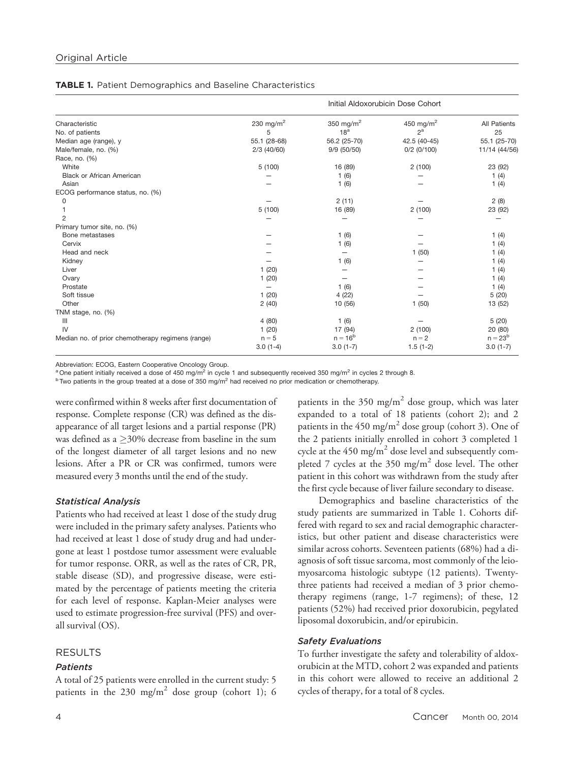|  |  |  |  |  | <b>TABLE 1.</b> Patient Demographics and Baseline Characteristics |
|--|--|--|--|--|-------------------------------------------------------------------|
|--|--|--|--|--|-------------------------------------------------------------------|

|                                                   |                       | Initial Aldoxorubicin Dose Cohort |                       |               |  |  |
|---------------------------------------------------|-----------------------|-----------------------------------|-----------------------|---------------|--|--|
| Characteristic                                    | 230 mg/m <sup>2</sup> | 350 mg/m <sup>2</sup>             | 450 mg/m <sup>2</sup> | All Patients  |  |  |
| No. of patients                                   | 5                     | 18 <sup>a</sup>                   | $2^a$                 | 25            |  |  |
| Median age (range), y                             | 55.1 (28-68)          | 56.2 (25-70)                      | 42.5 (40-45)          | 55.1 (25-70)  |  |  |
| Male/female, no. (%)                              | $2/3$ (40/60)         | 9/9 (50/50)                       | $0/2$ (0/100)         | 11/14 (44/56) |  |  |
| Race, no. (%)                                     |                       |                                   |                       |               |  |  |
| White                                             | 5(100)                | 16 (89)                           | 2(100)                | 23 (92)       |  |  |
| <b>Black or African American</b>                  |                       | 1(6)                              |                       | 1(4)          |  |  |
| Asian                                             |                       | 1(6)                              |                       | 1(4)          |  |  |
| ECOG performance status, no. (%)                  |                       |                                   |                       |               |  |  |
| 0                                                 |                       | 2(11)                             |                       | 2(8)          |  |  |
|                                                   | 5(100)                | 16 (89)                           | 2(100)                | 23 (92)       |  |  |
| $\overline{2}$                                    |                       |                                   |                       |               |  |  |
| Primary tumor site, no. (%)                       |                       |                                   |                       |               |  |  |
| Bone metastases                                   |                       | 1(6)                              |                       | 1(4)          |  |  |
| Cervix                                            |                       | 1(6)                              |                       | 1(4)          |  |  |
| Head and neck                                     |                       |                                   | 1(50)                 | 1(4)          |  |  |
| Kidney                                            |                       | 1(6)                              |                       | 1(4)          |  |  |
| Liver                                             | 1(20)                 |                                   |                       | 1(4)          |  |  |
| Ovary                                             | 1(20)                 |                                   |                       | 1 $(4)$       |  |  |
| Prostate                                          |                       | 1(6)                              |                       | 1(4)          |  |  |
| Soft tissue                                       | 1(20)                 | 4(22)                             |                       | 5(20)         |  |  |
| Other                                             | 2(40)                 | 10 (56)                           | 1(50)                 | 13 (52)       |  |  |
| TNM stage, no. (%)                                |                       |                                   |                       |               |  |  |
| $\mathbf{III}$                                    | 4(80)                 | 1(6)                              |                       | 5(20)         |  |  |
| IV                                                | 1(20)                 | 17 (94)                           | 2(100)                | 20 (80)       |  |  |
| Median no. of prior chemotherapy regimens (range) | $n = 5$               | $n = 16^{b}$                      | $n = 2$               | $n = 23^{b}$  |  |  |
|                                                   | $3.0(1-4)$            | $3.0(1-7)$                        | $1.5(1-2)$            | $3.0(1-7)$    |  |  |

Abbreviation: ECOG, Eastern Cooperative Oncology Group.

<sup>a</sup> One patient initially received a dose of 450 mg/m<sup>2</sup> in cycle 1 and subsequently received 350 mg/m<sup>2</sup> in cycles 2 through 8.

 $b$  Two patients in the group treated at a dose of 350 mg/m<sup>2</sup> had received no prior medication or chemotherapy.

were confirmed within 8 weeks after first documentation of response. Complete response (CR) was defined as the disappearance of all target lesions and a partial response (PR) was defined as a  $\geq$ 30% decrease from baseline in the sum of the longest diameter of all target lesions and no new lesions. After a PR or CR was confirmed, tumors were measured every 3 months until the end of the study.

## Statistical Analysis

Patients who had received at least 1 dose of the study drug were included in the primary safety analyses. Patients who had received at least 1 dose of study drug and had undergone at least 1 postdose tumor assessment were evaluable for tumor response. ORR, as well as the rates of CR, PR, stable disease (SD), and progressive disease, were estimated by the percentage of patients meeting the criteria for each level of response. Kaplan-Meier analyses were used to estimate progression-free survival (PFS) and overall survival (OS).

## RESULTS

#### Patients

A total of 25 patients were enrolled in the current study: 5 patients in the 230 mg/m<sup>2</sup> dose group (cohort 1); 6 patients in the 350 mg/m<sup>2</sup> dose group, which was later expanded to a total of 18 patients (cohort 2); and 2 patients in the 450 mg/m<sup>2</sup> dose group (cohort 3). One of the 2 patients initially enrolled in cohort 3 completed 1 cycle at the  $450 \text{ mg/m}^2$  dose level and subsequently completed 7 cycles at the  $350 \text{ mg/m}^2$  dose level. The other patient in this cohort was withdrawn from the study after the first cycle because of liver failure secondary to disease.

Demographics and baseline characteristics of the study patients are summarized in Table 1. Cohorts differed with regard to sex and racial demographic characteristics, but other patient and disease characteristics were similar across cohorts. Seventeen patients (68%) had a diagnosis of soft tissue sarcoma, most commonly of the leiomyosarcoma histologic subtype (12 patients). Twentythree patients had received a median of 3 prior chemotherapy regimens (range, 1-7 regimens); of these, 12 patients (52%) had received prior doxorubicin, pegylated liposomal doxorubicin, and/or epirubicin.

## Safety Evaluations

To further investigate the safety and tolerability of aldoxorubicin at the MTD, cohort 2 was expanded and patients in this cohort were allowed to receive an additional 2 cycles of therapy, for a total of 8 cycles.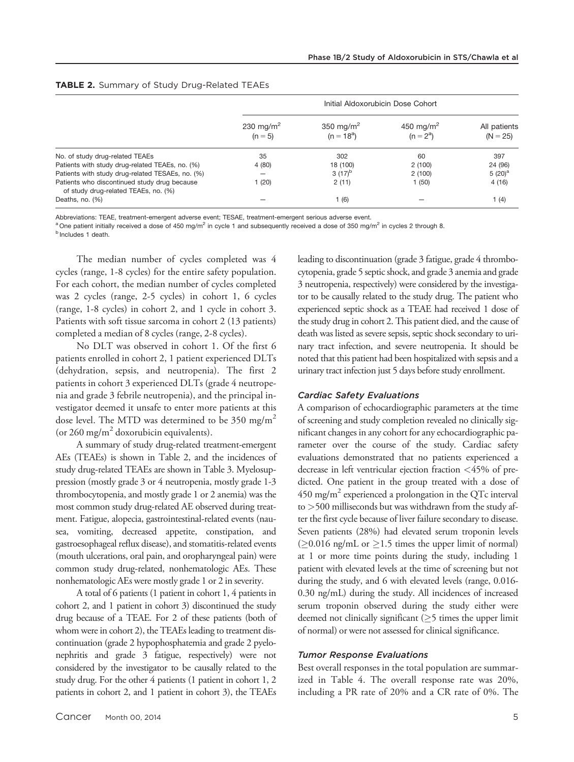|                                                                                      | Initial Aldoxorubicin Dose Cohort  |                                       |                                      |                            |  |
|--------------------------------------------------------------------------------------|------------------------------------|---------------------------------------|--------------------------------------|----------------------------|--|
|                                                                                      | 230 mg/m <sup>2</sup><br>$(n = 5)$ | 350 mg/m <sup>2</sup><br>$(n = 18^a)$ | 450 mg/m <sup>2</sup><br>$(n = 2^a)$ | All patients<br>$(N = 25)$ |  |
| No. of study drug-related TEAEs                                                      | 35                                 | 302                                   | 60                                   | 397                        |  |
| Patients with study drug-related TEAEs, no. (%)                                      | 4(80)                              | 18 (100)                              | 2(100)                               | 24 (96)                    |  |
| Patients with study drug-related TESAEs, no. (%)                                     | -                                  | $3(17)^{b}$                           | 2(100)                               | $5(20)^a$                  |  |
| Patients who discontinued study drug because<br>of study drug-related TEAEs, no. (%) | (20)                               | 2(11)                                 | 1(50)                                | 4(16)                      |  |
| Deaths, no. (%)                                                                      |                                    | (6)                                   |                                      | 1(4)                       |  |

#### TABLE 2. Summary of Study Drug-Related TEAEs

Abbreviations: TEAE, treatment-emergent adverse event; TESAE, treatment-emergent serious adverse event.

<sup>a</sup> One patient initially received a dose of 450 mg/m<sup>2</sup> in cycle 1 and subsequently received a dose of 350 mg/m<sup>2</sup> in cycles 2 through 8.

**b** Includes 1 death.

The median number of cycles completed was 4 cycles (range, 1-8 cycles) for the entire safety population. For each cohort, the median number of cycles completed was 2 cycles (range, 2-5 cycles) in cohort 1, 6 cycles (range, 1-8 cycles) in cohort 2, and 1 cycle in cohort 3. Patients with soft tissue sarcoma in cohort 2 (13 patients) completed a median of 8 cycles (range, 2-8 cycles).

No DLT was observed in cohort 1. Of the first 6 patients enrolled in cohort 2, 1 patient experienced DLTs (dehydration, sepsis, and neutropenia). The first 2 patients in cohort 3 experienced DLTs (grade 4 neutropenia and grade 3 febrile neutropenia), and the principal investigator deemed it unsafe to enter more patients at this dose level. The MTD was determined to be  $350 \text{ mg/m}^2$ (or 260 mg/m<sup>2</sup> doxorubicin equivalents).

A summary of study drug-related treatment-emergent AEs (TEAEs) is shown in Table 2, and the incidences of study drug-related TEAEs are shown in Table 3. Myelosuppression (mostly grade 3 or 4 neutropenia, mostly grade 1-3 thrombocytopenia, and mostly grade 1 or 2 anemia) was the most common study drug-related AE observed during treatment. Fatigue, alopecia, gastrointestinal-related events (nausea, vomiting, decreased appetite, constipation, and gastroesophageal reflux disease), and stomatitis-related events (mouth ulcerations, oral pain, and oropharyngeal pain) were common study drug-related, nonhematologic AEs. These nonhematologic AEs were mostly grade 1 or 2 in severity.

A total of 6 patients (1 patient in cohort 1, 4 patients in cohort 2, and 1 patient in cohort 3) discontinued the study drug because of a TEAE. For 2 of these patients (both of whom were in cohort 2), the TEAEs leading to treatment discontinuation (grade 2 hypophosphatemia and grade 2 pyelonephritis and grade 3 fatigue, respectively) were not considered by the investigator to be causally related to the study drug. For the other 4 patients (1 patient in cohort 1, 2 patients in cohort 2, and 1 patient in cohort 3), the TEAEs leading to discontinuation (grade 3 fatigue, grade 4 thrombocytopenia, grade 5 septic shock, and grade 3 anemia and grade 3 neutropenia, respectively) were considered by the investigator to be causally related to the study drug. The patient who experienced septic shock as a TEAE had received 1 dose of the study drug in cohort 2. This patient died, and the cause of death was listed as severe sepsis, septic shock secondary to urinary tract infection, and severe neutropenia. It should be noted that this patient had been hospitalized with sepsis and a urinary tract infection just 5 days before study enrollment.

## Cardiac Safety Evaluations

A comparison of echocardiographic parameters at the time of screening and study completion revealed no clinically significant changes in any cohort for any echocardiographic parameter over the course of the study. Cardiac safety evaluations demonstrated that no patients experienced a decrease in left ventricular ejection fraction <45% of predicted. One patient in the group treated with a dose of 450 mg/m<sup>2</sup> experienced a prolongation in the QTc interval to >500 milliseconds but was withdrawn from the study after the first cycle because of liver failure secondary to disease. Seven patients (28%) had elevated serum troponin levels  $( \geq 0.016 \text{ ng/mL or } \geq 1.5 \text{ times the upper limit of normal})$ at 1 or more time points during the study, including 1 patient with elevated levels at the time of screening but not during the study, and 6 with elevated levels (range, 0.016- 0.30 ng/mL) during the study. All incidences of increased serum troponin observed during the study either were deemed not clinically significant  $(\geq)$  times the upper limit of normal) or were not assessed for clinical significance.

#### Tumor Response Evaluations

Best overall responses in the total population are summarized in Table 4. The overall response rate was 20%, including a PR rate of 20% and a CR rate of 0%. The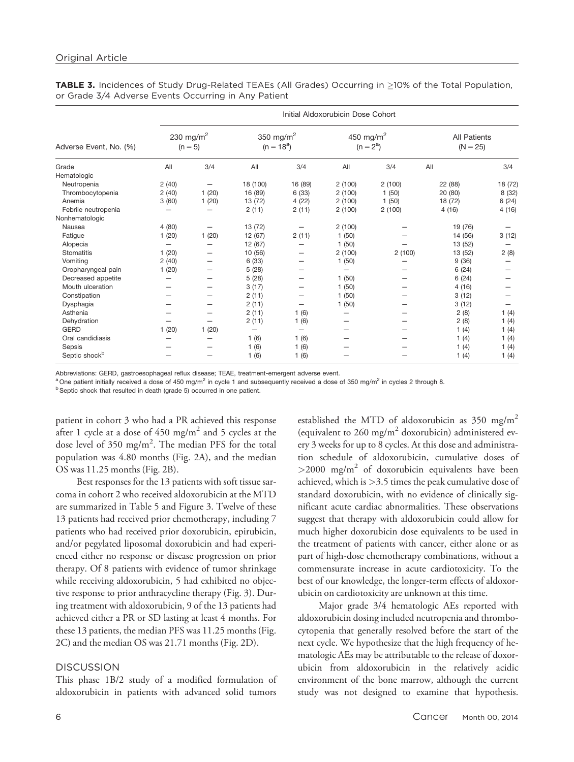|                                       | Initial Aldoxorubicin Dose Cohort  |       |                                       |         |                                      |        |                                   |         |
|---------------------------------------|------------------------------------|-------|---------------------------------------|---------|--------------------------------------|--------|-----------------------------------|---------|
| Adverse Event, No. (%)                | 230 mg/m <sup>2</sup><br>$(n = 5)$ |       | 350 mg/m <sup>2</sup><br>$(n = 18^a)$ |         | 450 mg/m <sup>2</sup><br>$(n = 2^a)$ |        | <b>All Patients</b><br>$(N = 25)$ |         |
| Grade                                 | All                                | 3/4   | All                                   | 3/4     | All                                  | 3/4    | All                               | 3/4     |
| Hematologic                           |                                    |       |                                       |         |                                      |        |                                   |         |
| Neutropenia                           | 2(40)                              |       | 18 (100)                              | 16 (89) | 2(100)                               | 2(100) | 22 (88)                           | 18 (72) |
| Thrombocytopenia                      | 2(40)                              | 1(20) | 16 (89)                               | 6(33)   | 2(100)                               | 1(50)  | 20 (80)                           | 8 (32)  |
| Anemia                                | 3(60)                              | 1(20) | 13 (72)                               | 4(22)   | 2(100)                               | 1(50)  | 18 (72)                           | 6(24)   |
| Febrile neutropenia<br>Nonhematologic |                                    | -     | 2(11)                                 | 2(11)   | 2(100)                               | 2(100) | 4(16)                             | 4(16)   |
| Nausea                                | 4(80)                              | -     | 13 (72)                               | —       | 2(100)                               |        | 19 (76)                           |         |
| Fatigue                               | 1(20)                              | 1(20) | 12 (67)                               | 2(11)   | 1(50)                                |        | 14 (56)                           | 3(12)   |
| Alopecia                              | $\qquad \qquad -$                  |       | 12 (67)                               |         | 1(50)                                |        | 13 (52)                           |         |
| Stomatitis                            | 1(20)                              |       | 10 (56)                               |         | 2(100)                               | 2(100) | 13 (52)                           | 2(8)    |
| Vomiting                              | 2(40)                              |       | 6(33)                                 |         | 1(50)                                |        | 9(36)                             |         |
| Oropharyngeal pain                    | 1(20)                              |       | 5(28)                                 |         |                                      |        | 6(24)                             |         |
| Decreased appetite                    | $\overline{\phantom{0}}$           |       | 5(28)                                 |         | 1(50)                                |        | 6(24)                             |         |
| Mouth ulceration                      |                                    |       | 3(17)                                 |         | 1(50)                                |        | 4(16)                             |         |
| Constipation                          |                                    |       | 2(11)                                 |         | 1(50)                                |        | 3(12)                             |         |
| Dysphagia                             |                                    |       | 2(11)                                 | —       | 1(50)                                |        | 3(12)                             |         |
| Asthenia                              |                                    |       | 2(11)                                 | 1(6)    |                                      |        | 2(8)                              | 1(4)    |
| Dehydration                           |                                    |       | 2(11)                                 | 1(6)    |                                      |        | 2(8)                              | 1(4)    |
| <b>GERD</b>                           | 1(20)                              | 1(20) | $\overline{\phantom{0}}$              | —       |                                      |        | 1(4)                              | 1(4)    |
| Oral candidiasis                      |                                    |       | 1(6)                                  | 1(6)    |                                      |        | 1(4)                              | 1 $(4)$ |
| Sepsis                                |                                    |       | 1(6)                                  | 1(6)    |                                      |        | 1(4)                              | 1(4)    |
| Septic shock <sup>b</sup>             |                                    |       | 1(6)                                  | 1(6)    |                                      |        | 1(4)                              | 1(4)    |

**TABLE 3.** Incidences of Study Drug-Related TEAEs (All Grades) Occurring in  $\geq$ 10% of the Total Population, or Grade 3/4 Adverse Events Occurring in Any Patient

Abbreviations: GERD, gastroesophageal reflux disease; TEAE, treatment-emergent adverse event.

<sup>a</sup> One patient initially received a dose of 450 mg/m<sup>2</sup> in cycle 1 and subsequently received a dose of 350 mg/m<sup>2</sup> in cycles 2 through 8.

<sup>b</sup> Septic shock that resulted in death (grade 5) occurred in one patient.

patient in cohort 3 who had a PR achieved this response after 1 cycle at a dose of  $450 \text{ mg/m}^2$  and 5 cycles at the dose level of 350 mg/m<sup>2</sup>. The median PFS for the total population was 4.80 months (Fig. 2A), and the median OS was 11.25 months (Fig. 2B).

Best responses for the 13 patients with soft tissue sarcoma in cohort 2 who received aldoxorubicin at the MTD are summarized in Table 5 and Figure 3. Twelve of these 13 patients had received prior chemotherapy, including 7 patients who had received prior doxorubicin, epirubicin, and/or pegylated liposomal doxorubicin and had experienced either no response or disease progression on prior therapy. Of 8 patients with evidence of tumor shrinkage while receiving aldoxorubicin, 5 had exhibited no objective response to prior anthracycline therapy (Fig. 3). During treatment with aldoxorubicin, 9 of the 13 patients had achieved either a PR or SD lasting at least 4 months. For these 13 patients, the median PFS was 11.25 months (Fig. 2C) and the median OS was 21.71 months (Fig. 2D).

## **DISCUSSION**

This phase 1B/2 study of a modified formulation of aldoxorubicin in patients with advanced solid tumors established the MTD of aldoxorubicin as  $350 \text{ mg/m}^2$ (equivalent to 260 mg/m<sup>2</sup> doxorubicin) administered every 3 weeks for up to 8 cycles. At this dose and administration schedule of aldoxorubicin, cumulative doses of  $>$ 2000 mg/m<sup>2</sup> of doxorubicin equivalents have been achieved, which is >3.5 times the peak cumulative dose of standard doxorubicin, with no evidence of clinically significant acute cardiac abnormalities. These observations suggest that therapy with aldoxorubicin could allow for much higher doxorubicin dose equivalents to be used in the treatment of patients with cancer, either alone or as part of high-dose chemotherapy combinations, without a commensurate increase in acute cardiotoxicity. To the best of our knowledge, the longer-term effects of aldoxorubicin on cardiotoxicity are unknown at this time.

Major grade 3/4 hematologic AEs reported with aldoxorubicin dosing included neutropenia and thrombocytopenia that generally resolved before the start of the next cycle. We hypothesize that the high frequency of hematologic AEs may be attributable to the release of doxorubicin from aldoxorubicin in the relatively acidic environment of the bone marrow, although the current study was not designed to examine that hypothesis.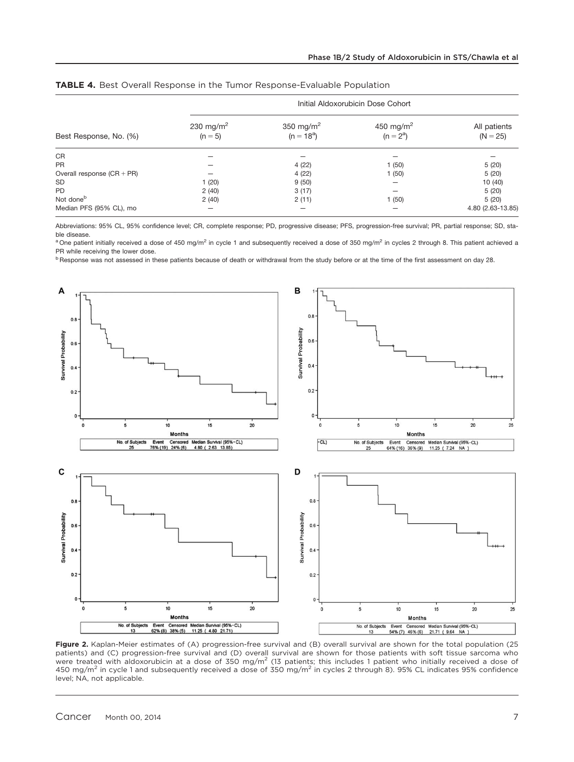|                              | Initial Aldoxorubicin Dose Cohort  |                                       |                                      |                            |  |
|------------------------------|------------------------------------|---------------------------------------|--------------------------------------|----------------------------|--|
| Best Response, No. (%)       | 230 mg/m <sup>2</sup><br>$(n = 5)$ | 350 mg/m <sup>2</sup><br>$(n = 18^a)$ | 450 mg/m <sup>2</sup><br>$(n = 2^a)$ | All patients<br>$(N = 25)$ |  |
| <b>CR</b>                    |                                    |                                       |                                      |                            |  |
| <b>PR</b>                    |                                    | 4(22)                                 | 1(50)                                | 5(20)                      |  |
| Overall response $(CR + PR)$ |                                    | 4(22)                                 | 1(50)                                | 5(20)                      |  |
| <b>SD</b>                    | 1(20)                              | 9(50)                                 |                                      | 10(40)                     |  |
| <b>PD</b>                    | 2(40)                              | 3(17)                                 |                                      | 5(20)                      |  |
| Not done <sup>b</sup>        | 2(40)                              | 2(11)                                 | 1(50)                                | 5(20)                      |  |
| Median PFS (95% CL), mo      |                                    |                                       |                                      | 4.80 (2.63-13.85)          |  |

|  |  | <b>TABLE 4.</b> Best Overall Response in the Tumor Response-Evaluable Population |  |
|--|--|----------------------------------------------------------------------------------|--|
|--|--|----------------------------------------------------------------------------------|--|

Abbreviations: 95% CL, 95% confidence level; CR, complete response; PD, progressive disease; PFS, progression-free survival; PR, partial response; SD, stable disease.

<sup>a</sup> One patient initially received a dose of 450 mg/m<sup>2</sup> in cycle 1 and subsequently received a dose of 350 mg/m<sup>2</sup> in cycles 2 through 8. This patient achieved a PR while receiving the lower dose.

<sup>b</sup> Response was not assessed in these patients because of death or withdrawal from the study before or at the time of the first assessment on day 28.



Figure 2. Kaplan-Meier estimates of (A) progression-free survival and (B) overall survival are shown for the total population (25 patients) and (C) progression-free survival and (D) overall survival are shown for those patients with soft tissue sarcoma who were treated with aldoxorubicin at a dose of 350 mg/m<sup>2</sup> (13 patients; this includes 1 patient who initially received a dose of 450 mg/m<sup>2</sup> in cycle 1 and subsequently received a dose of 350 mg/m<sup>2</sup> in cycles 2 through 8). 95% CL indicates 95% confidence level; NA, not applicable.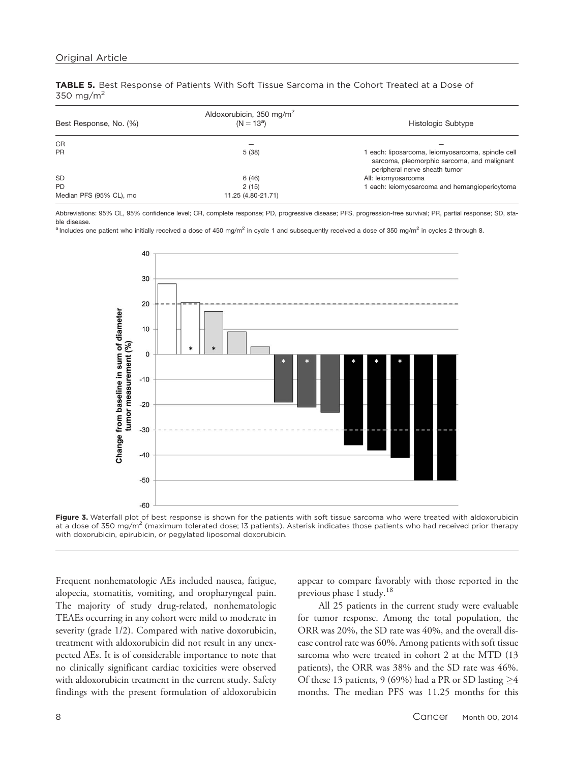TABLE 5. Best Response of Patients With Soft Tissue Sarcoma in the Cohort Treated at a Dose of 350 mg/m2

| Best Response, No. (%)  | Aldoxorubicin, 350 mg/m <sup>2</sup><br>$(N = 13^a)$ | Histologic Subtype                                                                                                                |
|-------------------------|------------------------------------------------------|-----------------------------------------------------------------------------------------------------------------------------------|
| <b>CR</b>               |                                                      |                                                                                                                                   |
| <b>PR</b>               | 5(38)                                                | 1 each: liposarcoma, leiomyosarcoma, spindle cell<br>sarcoma, pleomorphic sarcoma, and malignant<br>peripheral nerve sheath tumor |
| <b>SD</b>               | 6(46)                                                | All: leiomyosarcoma                                                                                                               |
| <b>PD</b>               | 2(15)                                                | 1 each: leiomyosarcoma and hemangiopericytoma                                                                                     |
| Median PFS (95% CL), mo | 11.25 (4.80-21.71)                                   |                                                                                                                                   |

Abbreviations: 95% CL, 95% confidence level; CR, complete response; PD, progressive disease; PFS, progression-free survival; PR, partial response; SD, stable disease.

<sup>a</sup> Includes one patient who initially received a dose of 450 mg/m<sup>2</sup> in cycle 1 and subsequently received a dose of 350 mg/m<sup>2</sup> in cycles 2 through 8.



Figure 3. Waterfall plot of best response is shown for the patients with soft tissue sarcoma who were treated with aldoxorubicin at a dose of 350 mg/m<sup>2</sup> (maximum tolerated dose; 13 patients). Asterisk indicates those patients who had received prior therapy with doxorubicin, epirubicin, or pegylated liposomal doxorubicin.

Frequent nonhematologic AEs included nausea, fatigue, alopecia, stomatitis, vomiting, and oropharyngeal pain. The majority of study drug-related, nonhematologic TEAEs occurring in any cohort were mild to moderate in severity (grade 1/2). Compared with native doxorubicin, treatment with aldoxorubicin did not result in any unexpected AEs. It is of considerable importance to note that no clinically significant cardiac toxicities were observed with aldoxorubicin treatment in the current study. Safety findings with the present formulation of aldoxorubicin appear to compare favorably with those reported in the previous phase 1 study.<sup>18</sup>

All 25 patients in the current study were evaluable for tumor response. Among the total population, the ORR was 20%, the SD rate was 40%, and the overall disease control rate was 60%. Among patients with soft tissue sarcoma who were treated in cohort 2 at the MTD (13 patients), the ORR was 38% and the SD rate was 46%. Of these 13 patients, 9 (69%) had a PR or SD lasting  $\geq$  4 months. The median PFS was 11.25 months for this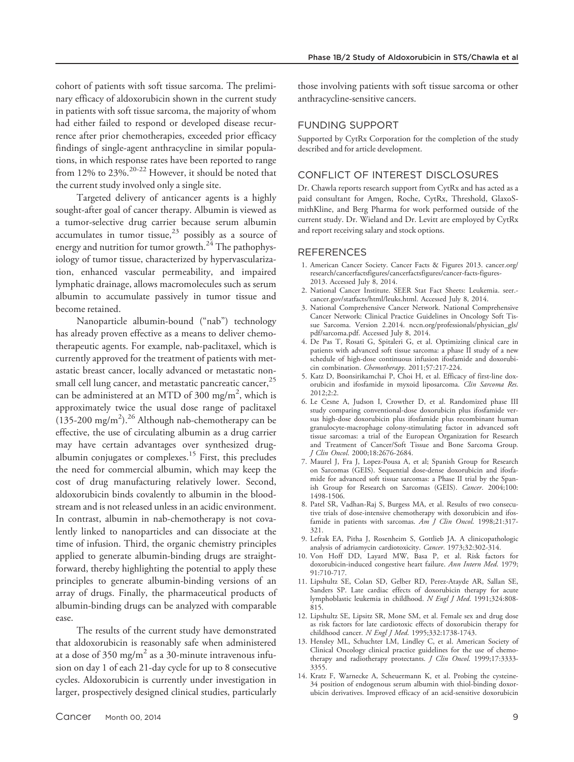cohort of patients with soft tissue sarcoma. The preliminary efficacy of aldoxorubicin shown in the current study in patients with soft tissue sarcoma, the majority of whom had either failed to respond or developed disease recurrence after prior chemotherapies, exceeded prior efficacy findings of single-agent anthracycline in similar populations, in which response rates have been reported to range from 12% to 23%.20-22 However, it should be noted that the current study involved only a single site.

Targeted delivery of anticancer agents is a highly sought-after goal of cancer therapy. Albumin is viewed as a tumor-selective drug carrier because serum albumin accumulates in tumor tissue, $23$  possibly as a source of energy and nutrition for tumor growth. $24$  The pathophysiology of tumor tissue, characterized by hypervascularization, enhanced vascular permeability, and impaired lymphatic drainage, allows macromolecules such as serum albumin to accumulate passively in tumor tissue and become retained.

Nanoparticle albumin-bound ("nab") technology has already proven effective as a means to deliver chemotherapeutic agents. For example, nab-paclitaxel, which is currently approved for the treatment of patients with metastatic breast cancer, locally advanced or metastatic nonsmall cell lung cancer, and metastatic pancreatic cancer,<sup>25</sup> can be administered at an MTD of 300 mg/m<sup>2</sup>, which is approximately twice the usual dose range of paclitaxel  $(135-200 \text{ mg/m}^2).^{26}$  Although nab-chemotherapy can be effective, the use of circulating albumin as a drug carrier may have certain advantages over synthesized drugalbumin conjugates or complexes.<sup>15</sup> First, this precludes the need for commercial albumin, which may keep the cost of drug manufacturing relatively lower. Second, aldoxorubicin binds covalently to albumin in the bloodstream and is not released unless in an acidic environment. In contrast, albumin in nab-chemotherapy is not covalently linked to nanoparticles and can dissociate at the time of infusion. Third, the organic chemistry principles applied to generate albumin-binding drugs are straightforward, thereby highlighting the potential to apply these principles to generate albumin-binding versions of an array of drugs. Finally, the pharmaceutical products of albumin-binding drugs can be analyzed with comparable ease.

The results of the current study have demonstrated that aldoxorubicin is reasonably safe when administered at a dose of 350 mg/m<sup>2</sup> as a 30-minute intravenous infusion on day 1 of each 21-day cycle for up to 8 consecutive cycles. Aldoxorubicin is currently under investigation in larger, prospectively designed clinical studies, particularly

those involving patients with soft tissue sarcoma or other anthracycline-sensitive cancers.

#### FUNDING SUPPORT

Supported by CytRx Corporation for the completion of the study described and for article development.

## CONFLICT OF INTEREST DISCLOSURES

Dr. Chawla reports research support from CytRx and has acted as a paid consultant for Amgen, Roche, CytRx, Threshold, GlaxoSmithKline, and Berg Pharma for work performed outside of the current study. Dr. Wieland and Dr. Levitt are employed by CytRx and report receiving salary and stock options.

#### **REFERENCES**

- 1. American Cancer Society. Cancer Facts & Figures 2013. cancer.org/ research/cancerfactsfigures/cancerfactsfigures/cancer-facts-figures-2013. Accessed July 8, 2014.
- 2. National Cancer Institute. SEER Stat Fact Sheets: Leukemia. seer. cancer.gov/statfacts/html/leuks.html. Accessed July 8, 2014.
- 3. National Comprehensive Cancer Network. National Comprehensive Cancer Network: Clinical Practice Guidelines in Oncology Soft Tissue Sarcoma. Version 2.2014. nccn.org/professionals/physician\_gls/ pdf/sarcoma.pdf. Accessed July 8, 2014.
- 4. De Pas T, Rosati G, Spitaleri G, et al. Optimizing clinical care in patients with advanced soft tissue sarcoma: a phase II study of a new schedule of high-dose continuous infusion ifosfamide and doxorubicin combination. Chemotherapy. 2011;57:217-224.
- 5. Katz D, Boonsirikamchai P, Choi H, et al. Efficacy of first-line doxorubicin and ifosfamide in myxoid liposarcoma. Clin Sarcoma Res. 2012;2:2.
- 6. Le Cesne A, Judson I, Crowther D, et al. Randomized phase III study comparing conventional-dose doxorubicin plus ifosfamide versus high-dose doxorubicin plus ifosfamide plus recombinant human granulocyte-macrophage colony-stimulating factor in advanced soft tissue sarcomas: a trial of the European Organization for Research and Treatment of Cancer/Soft Tissue and Bone Sarcoma Group. J Clin Oncol. 2000;18:2676-2684.
- 7. Maurel J, Fra J, Lopez-Pousa A, et al; Spanish Group for Research on Sarcomas (GEIS). Sequential dose-dense doxorubicin and ifosfamide for advanced soft tissue sarcomas: a Phase II trial by the Spanish Group for Research on Sarcomas (GEIS). Cancer. 2004;100: 1498-1506.
- 8. Patel SR, Vadhan-Raj S, Burgess MA, et al. Results of two consecutive trials of dose-intensive chemotherapy with doxorubicin and ifosfamide in patients with sarcomas.  $Am$  *J Clin Oncol.* 1998;21:317-321.
- 9. Lefrak EA, Pitha J, Rosenheim S, Gottlieb JA. A clinicopathologic analysis of adriamycin cardiotoxicity. Cancer. 1973;32:302-314.
- 10. Von Hoff DD, Layard MW, Basa P, et al. Risk factors for doxorubicin-induced congestive heart failure. Ann Intern Med. 1979; 91:710-717.
- 11. Lipshultz SE, Colan SD, Gelber RD, Perez-Atayde AR, Sallan SE, Sanders SP. Late cardiac effects of doxorubicin therapy for acute lymphoblastic leukemia in childhood. N Engl J Med. 1991;324:808-815.
- 12. Lipshultz SE, Lipsitz SR, Mone SM, et al. Female sex and drug dose as risk factors for late cardiotoxic effects of doxorubicin therapy for childhood cancer. N Engl J Med. 1995;332:1738-1743.
- 13. Hensley ML, Schuchter LM, Lindley C, et al. American Society of Clinical Oncology clinical practice guidelines for the use of chemotherapy and radiotherapy protectants. J Clin Oncol. 1999;17:3333-3355.
- 14. Kratz F, Warnecke A, Scheuermann K, et al. Probing the cysteine-34 position of endogenous serum albumin with thiol-binding doxorubicin derivatives. Improved efficacy of an acid-sensitive doxorubicin